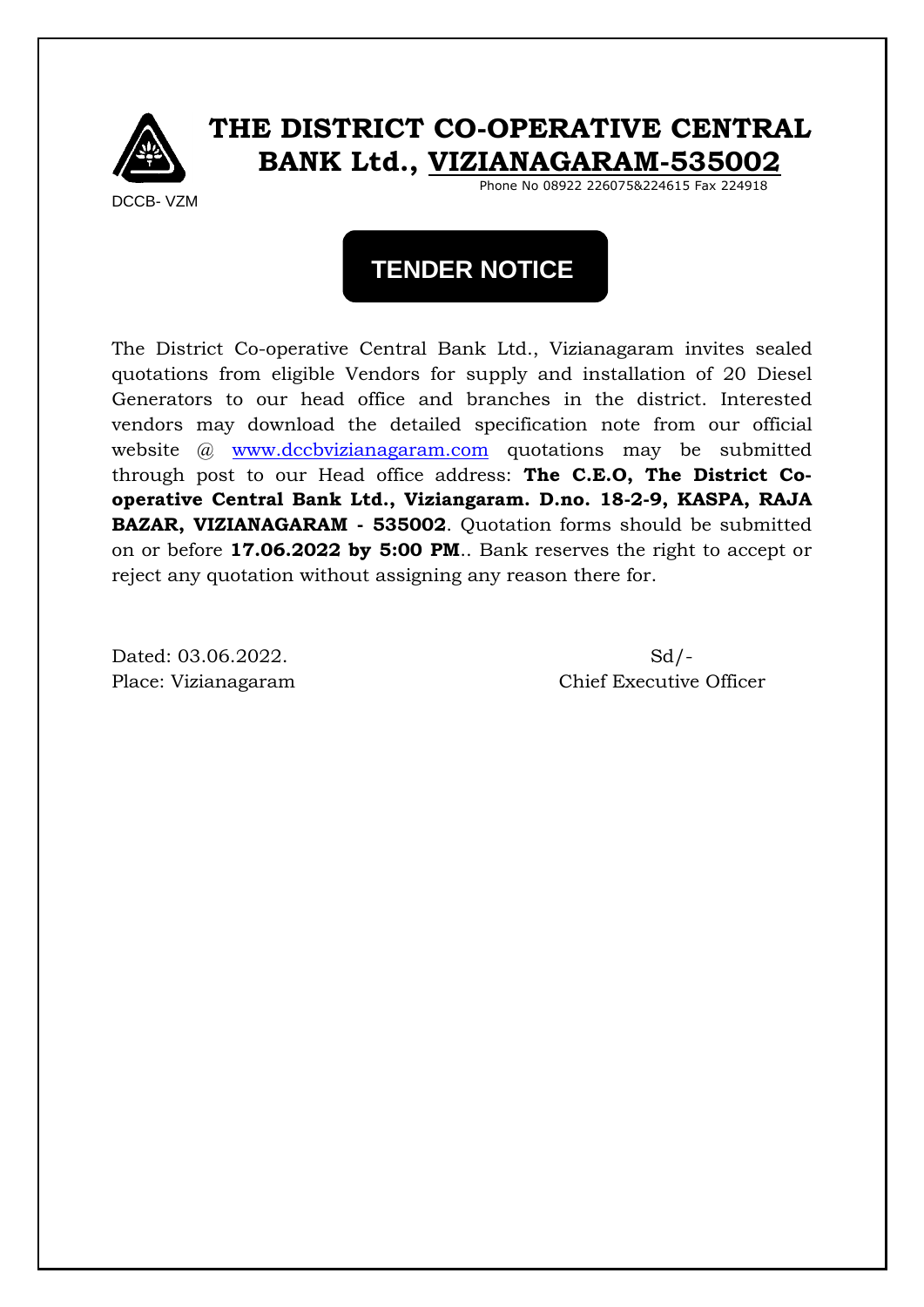

### **THE DISTRICT CO-OPERATIVE CENTRAL BANK Ltd., VIZIANAGARAM-535002**

DCCB- VZM

Phone No 08922 226075&224615 Fax 224918

## **TENDER NOTICE**

The District Co-operative Central Bank Ltd., Vizianagaram invites sealed quotations from eligible Vendors for supply and installation of 20 Diesel Generators to our head office and branches in the district. Interested vendors may download the detailed specification note from our official website @ [www.dccbvizianagaram.com](http://www.dccbvizianagaram.com/) quotations may be submitted through post to our Head office address: **The C.E.O, The District Cooperative Central Bank Ltd., Viziangaram. D.no. 18-2-9, KASPA, RAJA BAZAR, VIZIANAGARAM - 535002**. Quotation forms should be submitted on or before **17.06.2022 by 5:00 PM**.. Bank reserves the right to accept or reject any quotation without assigning any reason there for.

Dated: 03.06.2022. Sd/-

Place: Vizianagaram Chief Executive Officer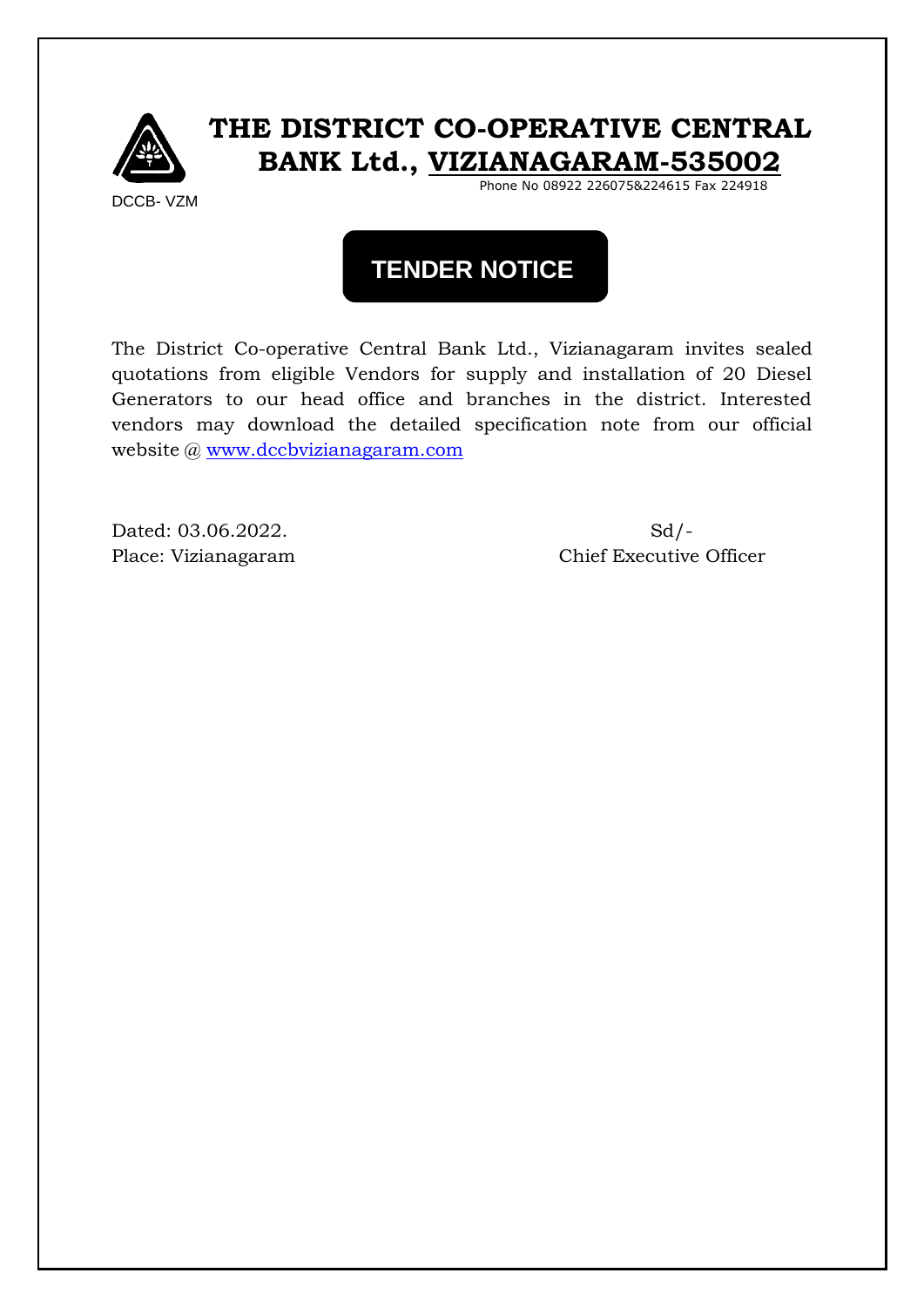

## **THE DISTRICT CO-OPERATIVE CENTRAL BANK Ltd., VIZIANAGARAM-535002**

Phone No 08922 226075&224615 Fax 224918

# **TENDER NOTICE**

The District Co-operative Central Bank Ltd., Vizianagaram invites sealed quotations from eligible Vendors for supply and installation of 20 Diesel Generators to our head office and branches in the district. Interested vendors may download the detailed specification note from our official website @ [www.dccbvizianagaram.com](http://www.dccbvizianagaram.com/)

Dated: 03.06.2022. Sd/-

Place: Vizianagaram Chief Executive Officer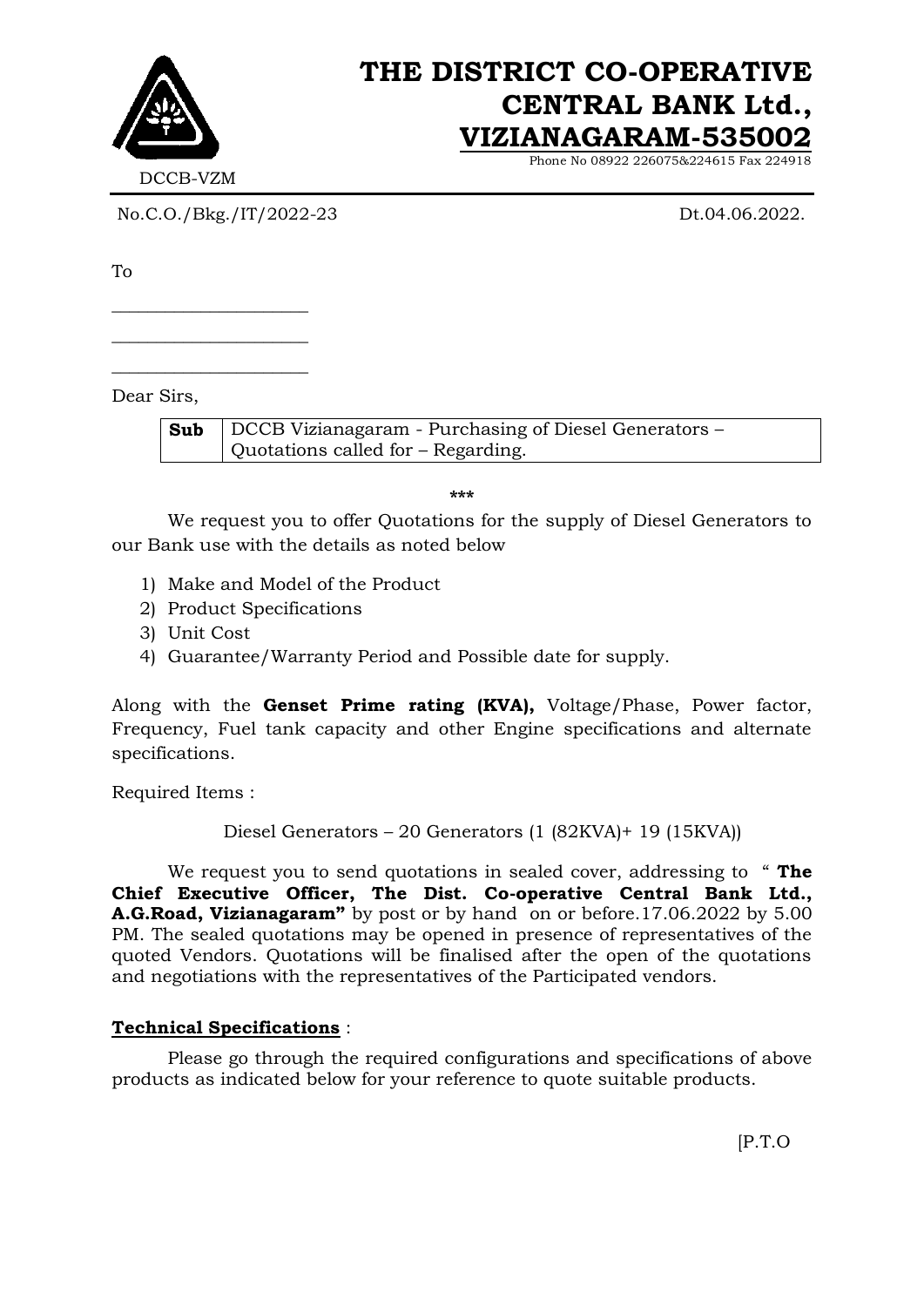

## **THE DISTRICT CO-OPERATIVE CENTRAL BANK Ltd., VIZIANAGARAM-535002**

Phone No 08922 226075&224615 Fax 224918

\_\_\_\_\_\_\_\_\_\_\_\_\_\_\_\_\_\_\_\_\_\_ **\_\_\_\_\_\_\_\_\_\_\_\_\_\_\_\_\_\_\_\_\_\_ \_\_\_\_\_\_\_\_\_\_\_\_\_\_\_\_\_\_\_\_\_\_**

No.C.O./Bkg./IT/2022-23 Dt.04.06.2022.

To

Dear Sirs,

**Sub** DCCB Vizianagaram - Purchasing of Diesel Generators – Quotations called for – Regarding.

**\*\*\***

We request you to offer Quotations for the supply of Diesel Generators to our Bank use with the details as noted below

- 1) Make and Model of the Product
- 2) Product Specifications
- 3) Unit Cost
- 4) Guarantee/Warranty Period and Possible date for supply.

Along with the **Genset Prime rating (KVA),** Voltage/Phase, Power factor, Frequency, Fuel tank capacity and other Engine specifications and alternate specifications.

Required Items :

Diesel Generators – 20 Generators (1 (82KVA)+ 19 (15KVA))

We request you to send quotations in sealed cover, addressing to " **The Chief Executive Officer, The Dist. Co-operative Central Bank Ltd., A.G.Road, Vizianagaram"** by post or by hand on or before.17.06.2022 by 5.00 PM. The sealed quotations may be opened in presence of representatives of the quoted Vendors. Quotations will be finalised after the open of the quotations and negotiations with the representatives of the Participated vendors.

#### **Technical Specifications** :

Please go through the required configurations and specifications of above products as indicated below for your reference to quote suitable products.

[P.T.O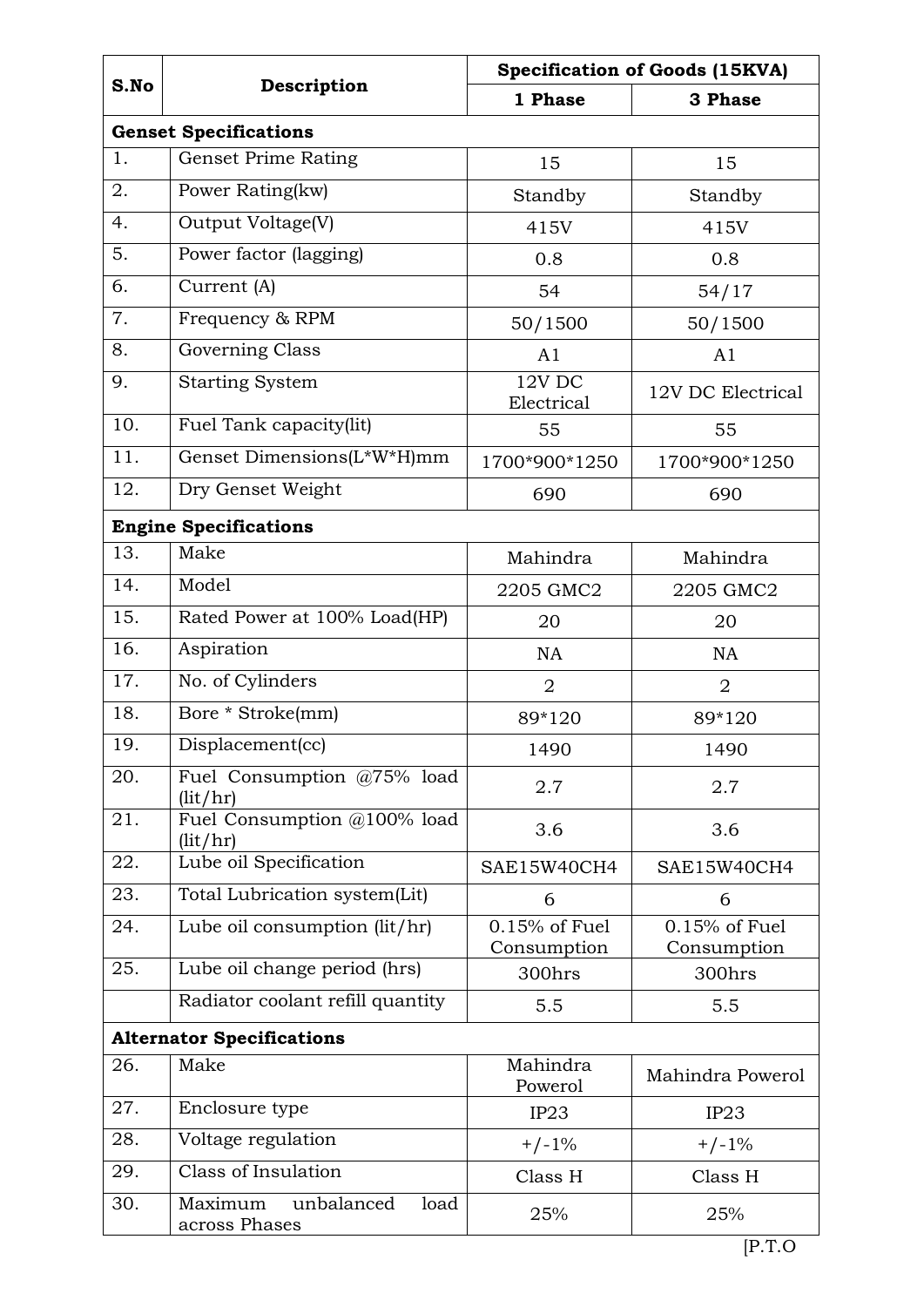| S.No                             | Description                                         | <b>Specification of Goods (15KVA)</b> |                                 |  |  |
|----------------------------------|-----------------------------------------------------|---------------------------------------|---------------------------------|--|--|
|                                  |                                                     | 1 Phase                               | 3 Phase                         |  |  |
| <b>Genset Specifications</b>     |                                                     |                                       |                                 |  |  |
| 1.                               | <b>Genset Prime Rating</b>                          | 15                                    | 15                              |  |  |
| 2.                               | Power Rating(kw)                                    | Standby                               | Standby                         |  |  |
| 4.                               | Output Voltage(V)                                   | 415V                                  | 415V                            |  |  |
| 5.                               | Power factor (lagging)                              | 0.8                                   | 0.8                             |  |  |
| 6.                               | Current (A)                                         | 54                                    | 54/17                           |  |  |
| 7.                               | Frequency & RPM                                     | 50/1500                               | 50/1500                         |  |  |
| 8.                               | Governing Class                                     | A <sub>1</sub>                        | A <sub>1</sub>                  |  |  |
| 9.                               | <b>Starting System</b>                              | $12V$ DC<br>Electrical                | 12V DC Electrical               |  |  |
| 10.                              | Fuel Tank capacity(lit)                             | 55                                    | 55                              |  |  |
| 11.                              | Genset Dimensions(L*W*H)mm                          | 1700*900*1250                         | 1700*900*1250                   |  |  |
| 12.                              | Dry Genset Weight                                   | 690                                   | 690                             |  |  |
|                                  | <b>Engine Specifications</b>                        |                                       |                                 |  |  |
| 13.                              | Make                                                | Mahindra                              | Mahindra                        |  |  |
| 14.                              | Model                                               | 2205 GMC2                             | 2205 GMC2                       |  |  |
| 15.                              | Rated Power at 100% Load(HP)                        | 20                                    | 20                              |  |  |
| 16.                              | Aspiration                                          | NA                                    | <b>NA</b>                       |  |  |
| 17.                              | No. of Cylinders                                    | $\overline{2}$                        | $\overline{2}$                  |  |  |
| 18.                              | Bore * Stroke(mm)                                   | 89*120                                | 89*120                          |  |  |
| 19.                              | Displacement(cc)                                    | 1490                                  | 1490                            |  |  |
| 20.                              | Fuel Consumption @75% load<br>(lit/hr)              | 2.7                                   | 2.7                             |  |  |
| 21.                              | Fuel Consumption @100% load<br>(lit/hr)             | 3.6                                   | 3.6                             |  |  |
| 22.                              | Lube oil Specification                              | SAE15W40CH4                           | SAE15W40CH4                     |  |  |
| 23.                              | Total Lubrication system(Lit)                       | 6                                     | 6                               |  |  |
| 24.                              | Lube oil consumption $\overline{(\mathrm{lit/hr})}$ | $0.15%$ of Fuel<br>Consumption        | $0.15\%$ of Fuel<br>Consumption |  |  |
| 25.                              | Lube oil change period (hrs)                        | 300hrs                                | 300hrs                          |  |  |
|                                  | Radiator coolant refill quantity                    | 5.5                                   | 5.5                             |  |  |
| <b>Alternator Specifications</b> |                                                     |                                       |                                 |  |  |
| 26.                              | Make                                                | Mahindra<br>Powerol                   | Mahindra Powerol                |  |  |
| 27.                              | Enclosure type                                      | IP23                                  | IP23                            |  |  |
| 28.                              | Voltage regulation                                  | $+/-1%$                               | $+/-1%$                         |  |  |
| 29.                              | Class of Insulation                                 | Class H                               | Class H                         |  |  |
| 30.                              | Maximum<br>unbalanced<br>load<br>across Phases      | 25%                                   | 25%                             |  |  |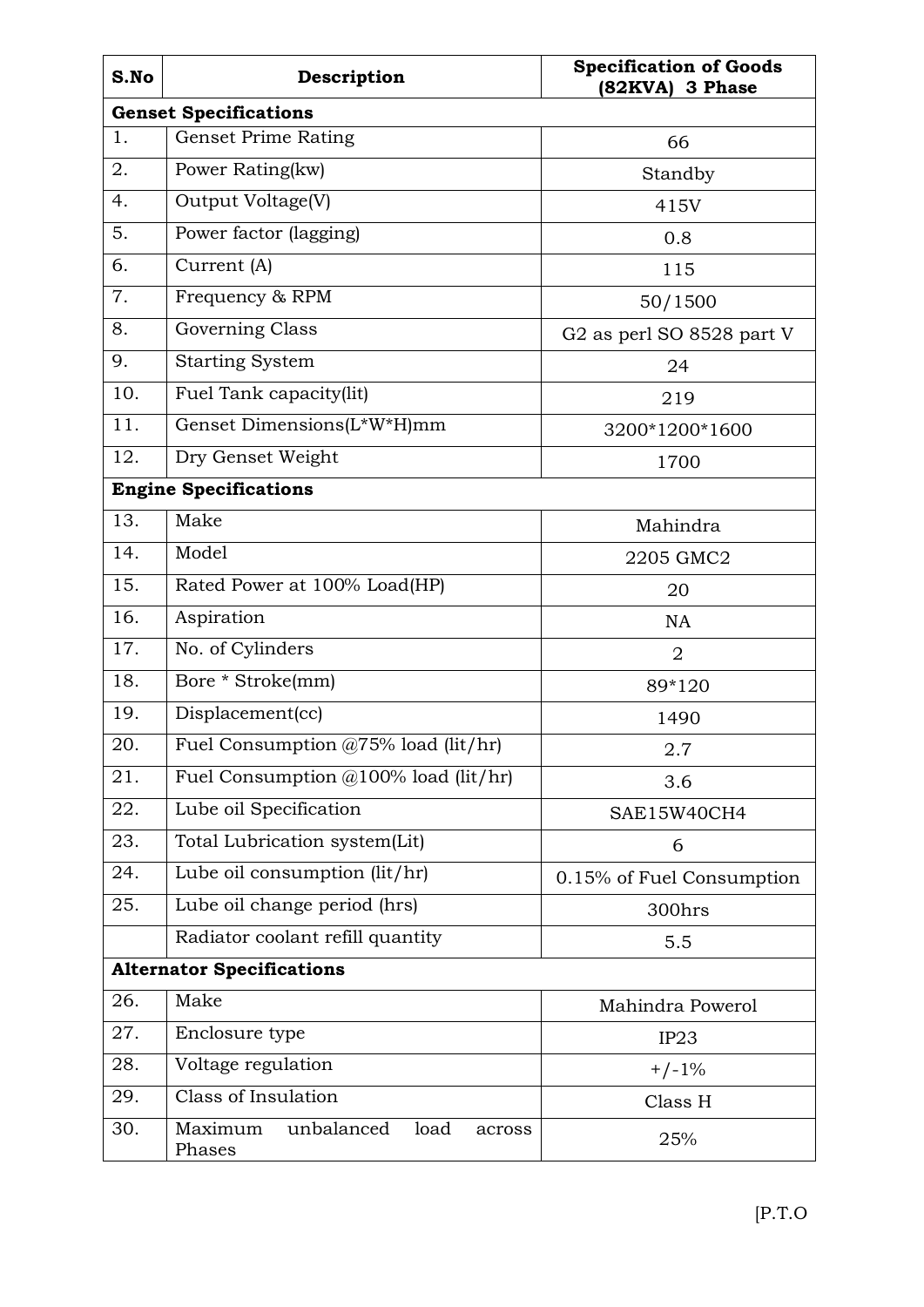| S.No                         | Description                                       | <b>Specification of Goods</b><br>(82KVA) 3 Phase |  |  |
|------------------------------|---------------------------------------------------|--------------------------------------------------|--|--|
|                              | <b>Genset Specifications</b>                      |                                                  |  |  |
| 1.                           | <b>Genset Prime Rating</b>                        | 66                                               |  |  |
| 2.                           | Power Rating(kw)                                  | Standby                                          |  |  |
| 4.                           | Output Voltage(V)                                 | 415V                                             |  |  |
| 5.                           | Power factor (lagging)                            | 0.8                                              |  |  |
| 6.                           | Current (A)                                       | 115                                              |  |  |
| 7.                           | Frequency & RPM                                   | 50/1500                                          |  |  |
| 8.                           | Governing Class                                   | G2 as perl SO 8528 part V                        |  |  |
| 9.                           | <b>Starting System</b>                            | 24                                               |  |  |
| 10.                          | Fuel Tank capacity(lit)                           | 219                                              |  |  |
| 11.                          | Genset Dimensions(L*W*H)mm                        | 3200*1200*1600                                   |  |  |
| 12.                          | Dry Genset Weight                                 | 1700                                             |  |  |
| <b>Engine Specifications</b> |                                                   |                                                  |  |  |
| 13.                          | Make                                              | Mahindra                                         |  |  |
| 14.                          | Model                                             | 2205 GMC2                                        |  |  |
| 15.                          | Rated Power at 100% Load(HP)                      | 20                                               |  |  |
| 16.                          | Aspiration                                        | NA                                               |  |  |
| 17.                          | No. of Cylinders                                  | $\overline{2}$                                   |  |  |
| 18.                          | Bore * Stroke(mm)                                 | 89*120                                           |  |  |
| 19.                          | Displacement(cc)                                  | 1490                                             |  |  |
| 20.                          | Fuel Consumption $@75%$ load (lit/hr)             | 2.7                                              |  |  |
| 21.                          | Fuel Consumption @100% load (lit/hr)              | 3.6                                              |  |  |
| 22.                          | Lube oil Specification                            | SAE15W40CH4                                      |  |  |
| 23.                          | Total Lubrication system(Lit)                     | 6                                                |  |  |
| 24.                          | Lube oil consumption (lit/hr)                     | 0.15% of Fuel Consumption                        |  |  |
| 25.                          | Lube oil change period (hrs)                      | 300hrs                                           |  |  |
|                              | Radiator coolant refill quantity                  | 5.5                                              |  |  |
|                              | <b>Alternator Specifications</b>                  |                                                  |  |  |
| 26.                          | Make                                              | Mahindra Powerol                                 |  |  |
| 27.                          | Enclosure type                                    | IP23                                             |  |  |
| 28.                          | Voltage regulation                                | $+/-1%$                                          |  |  |
| 29.                          | Class of Insulation                               | Class H                                          |  |  |
| 30.                          | Maximum<br>unbalanced<br>load<br>across<br>Phases | 25%                                              |  |  |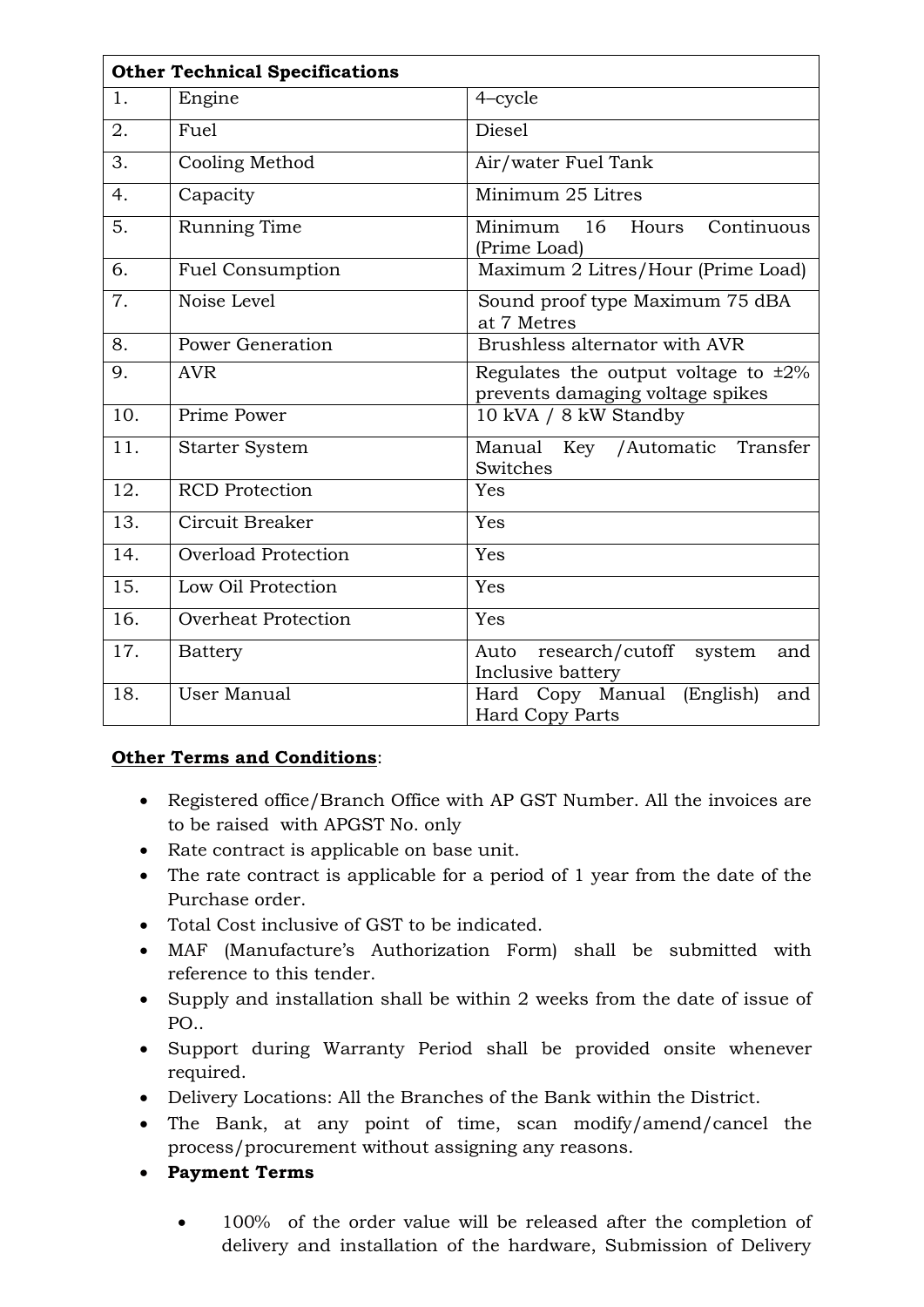| <b>Other Technical Specifications</b> |                            |                                                                               |  |  |
|---------------------------------------|----------------------------|-------------------------------------------------------------------------------|--|--|
| 1.                                    | Engine                     | 4-cycle                                                                       |  |  |
| 2.                                    | Fuel                       | <b>Diesel</b>                                                                 |  |  |
| 3.                                    | Cooling Method             | Air/water Fuel Tank                                                           |  |  |
| 4.                                    | Capacity                   | Minimum 25 Litres                                                             |  |  |
| 5.                                    | Running Time               | Minimum<br>16<br>Continuous<br>Hours<br>(Prime Load)                          |  |  |
| 6.                                    | Fuel Consumption           | Maximum 2 Litres/Hour (Prime Load)                                            |  |  |
| 7.                                    | Noise Level                | Sound proof type Maximum 75 dBA<br>at 7 Metres                                |  |  |
| 8.                                    | <b>Power Generation</b>    | Brushless alternator with AVR                                                 |  |  |
| 9.                                    | <b>AVR</b>                 | Regulates the output voltage to $\pm 2\%$<br>prevents damaging voltage spikes |  |  |
| 10.                                   | Prime Power                | 10 kVA / 8 kW Standby                                                         |  |  |
| $\overline{11}$ .                     | <b>Starter System</b>      | Manual<br>Key / Automatic<br>Transfer<br>Switches                             |  |  |
| 12.                                   | <b>RCD</b> Protection      | Yes                                                                           |  |  |
| 13.                                   | Circuit Breaker            | Yes                                                                           |  |  |
| 14.                                   | Overload Protection        | Yes                                                                           |  |  |
| 15.                                   | Low Oil Protection         | Yes                                                                           |  |  |
| 16.                                   | <b>Overheat Protection</b> | Yes                                                                           |  |  |
| 17.                                   | <b>Battery</b>             | research/cutoff<br>Auto<br>system<br>and<br>Inclusive battery                 |  |  |
| 18.                                   | <b>User Manual</b>         | (English)<br>Copy Manual<br>Hard<br>and<br><b>Hard Copy Parts</b>             |  |  |

#### **Other Terms and Conditions**:

- Registered office/Branch Office with AP GST Number. All the invoices are to be raised with APGST No. only
- Rate contract is applicable on base unit.
- The rate contract is applicable for a period of 1 year from the date of the Purchase order.
- Total Cost inclusive of GST to be indicated.
- MAF (Manufacture's Authorization Form) shall be submitted with reference to this tender.
- Supply and installation shall be within 2 weeks from the date of issue of PO..
- Support during Warranty Period shall be provided onsite whenever required.
- Delivery Locations: All the Branches of the Bank within the District.
- The Bank, at any point of time, scan modify/amend/cancel the process/procurement without assigning any reasons.
- **Payment Terms**
	- 100% of the order value will be released after the completion of delivery and installation of the hardware, Submission of Delivery